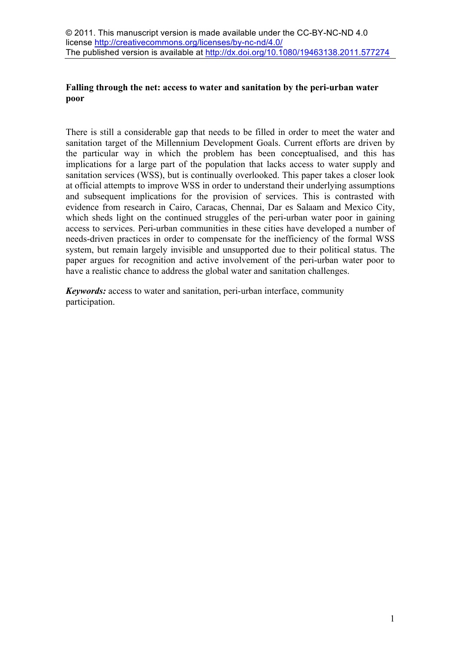## **Falling through the net: access to water and sanitation by the peri-urban water poor**

There is still a considerable gap that needs to be filled in order to meet the water and sanitation target of the Millennium Development Goals. Current efforts are driven by the particular way in which the problem has been conceptualised, and this has implications for a large part of the population that lacks access to water supply and sanitation services (WSS), but is continually overlooked. This paper takes a closer look at official attempts to improve WSS in order to understand their underlying assumptions and subsequent implications for the provision of services. This is contrasted with evidence from research in Cairo, Caracas, Chennai, Dar es Salaam and Mexico City, which sheds light on the continued struggles of the peri-urban water poor in gaining access to services. Peri-urban communities in these cities have developed a number of needs-driven practices in order to compensate for the inefficiency of the formal WSS system, but remain largely invisible and unsupported due to their political status. The paper argues for recognition and active involvement of the peri-urban water poor to have a realistic chance to address the global water and sanitation challenges.

*Keywords:* access to water and sanitation, peri-urban interface, community participation.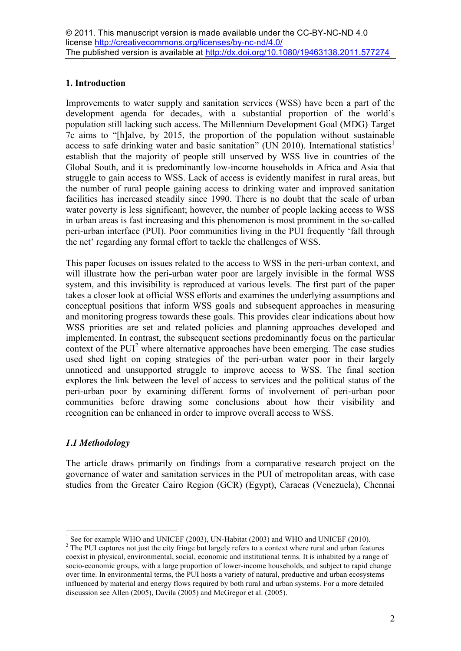# **1. Introduction**

Improvements to water supply and sanitation services (WSS) have been a part of the development agenda for decades, with a substantial proportion of the world's population still lacking such access. The Millennium Development Goal (MDG) Target 7c aims to "[h]alve, by 2015, the proportion of the population without sustainable access to safe drinking water and basic sanitation" (UN 2010). International statistics<sup>1</sup> establish that the majority of people still unserved by WSS live in countries of the Global South, and it is predominantly low-income households in Africa and Asia that struggle to gain access to WSS. Lack of access is evidently manifest in rural areas, but the number of rural people gaining access to drinking water and improved sanitation facilities has increased steadily since 1990. There is no doubt that the scale of urban water poverty is less significant; however, the number of people lacking access to WSS in urban areas is fast increasing and this phenomenon is most prominent in the so-called peri-urban interface (PUI). Poor communities living in the PUI frequently 'fall through the net' regarding any formal effort to tackle the challenges of WSS.

This paper focuses on issues related to the access to WSS in the peri-urban context, and will illustrate how the peri-urban water poor are largely invisible in the formal WSS system, and this invisibility is reproduced at various levels. The first part of the paper takes a closer look at official WSS efforts and examines the underlying assumptions and conceptual positions that inform WSS goals and subsequent approaches in measuring and monitoring progress towards these goals. This provides clear indications about how WSS priorities are set and related policies and planning approaches developed and implemented. In contrast, the subsequent sections predominantly focus on the particular context of the  $PUI<sup>2</sup>$  where alternative approaches have been emerging. The case studies used shed light on coping strategies of the peri-urban water poor in their largely unnoticed and unsupported struggle to improve access to WSS. The final section explores the link between the level of access to services and the political status of the peri-urban poor by examining different forms of involvement of peri-urban poor communities before drawing some conclusions about how their visibility and recognition can be enhanced in order to improve overall access to WSS.

# *1.1 Methodology*

The article draws primarily on findings from a comparative research project on the governance of water and sanitation services in the PUI of metropolitan areas, with case studies from the Greater Cairo Region (GCR) (Egypt), Caracas (Venezuela), Chennai

<sup>&</sup>lt;sup>1</sup> See for example WHO and UNICEF (2003), UN-Habitat (2003) and WHO and UNICEF (2010). <sup>2</sup> The PUI captures not just the city fringe but largely refers to a context where rural and urban features

coexist in physical, environmental, social, economic and institutional terms. It is inhabited by a range of socio-economic groups, with a large proportion of lower-income households, and subject to rapid change over time. In environmental terms, the PUI hosts a variety of natural, productive and urban ecosystems influenced by material and energy flows required by both rural and urban systems. For a more detailed discussion see Allen (2005), Davila (2005) and McGregor et al. (2005).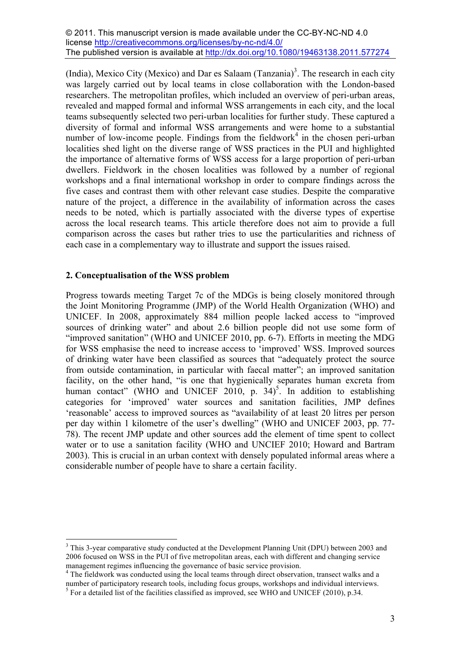(India), Mexico City (Mexico) and Dar es Salaam (Tanzania)<sup>3</sup>. The research in each city was largely carried out by local teams in close collaboration with the London-based researchers. The metropolitan profiles, which included an overview of peri-urban areas, revealed and mapped formal and informal WSS arrangements in each city, and the local teams subsequently selected two peri-urban localities for further study. These captured a diversity of formal and informal WSS arrangements and were home to a substantial number of low-income people. Findings from the fieldwork<sup>4</sup> in the chosen peri-urban localities shed light on the diverse range of WSS practices in the PUI and highlighted the importance of alternative forms of WSS access for a large proportion of peri-urban dwellers. Fieldwork in the chosen localities was followed by a number of regional workshops and a final international workshop in order to compare findings across the five cases and contrast them with other relevant case studies. Despite the comparative nature of the project, a difference in the availability of information across the cases needs to be noted, which is partially associated with the diverse types of expertise across the local research teams. This article therefore does not aim to provide a full comparison across the cases but rather tries to use the particularities and richness of each case in a complementary way to illustrate and support the issues raised.

## **2. Conceptualisation of the WSS problem**

Progress towards meeting Target 7c of the MDGs is being closely monitored through the Joint Monitoring Programme (JMP) of the World Health Organization (WHO) and UNICEF. In 2008, approximately 884 million people lacked access to "improved sources of drinking water" and about 2.6 billion people did not use some form of "improved sanitation" (WHO and UNICEF 2010, pp. 6-7). Efforts in meeting the MDG for WSS emphasise the need to increase access to 'improved' WSS. Improved sources of drinking water have been classified as sources that "adequately protect the source from outside contamination, in particular with faecal matter"; an improved sanitation facility, on the other hand, "is one that hygienically separates human excreta from human contact" (WHO and UNICEF 2010, p. 34)<sup>5</sup>. In addition to establishing categories for 'improved' water sources and sanitation facilities, JMP defines 'reasonable' access to improved sources as "availability of at least 20 litres per person per day within 1 kilometre of the user's dwelling" (WHO and UNICEF 2003, pp. 77- 78). The recent JMP update and other sources add the element of time spent to collect water or to use a sanitation facility (WHO and UNCIEF 2010; Howard and Bartram 2003). This is crucial in an urban context with densely populated informal areas where a considerable number of people have to share a certain facility.

<sup>&</sup>lt;sup>3</sup> This 3-year comparative study conducted at the Development Planning Unit (DPU) between 2003 and 2006 focused on WSS in the PUI of five metropolitan areas, each with different and changing service management regimes influencing the governance of basic service provision.<br><sup>4</sup> The fieldwork was conducted using the local teams through direct observation, transect walks and a

number of participatory research tools, including focus groups, workshops and individual interviews.<br><sup>5</sup> For a detailed list of the facilities classified as improved, see WHO and UNICEF (2010), p.34.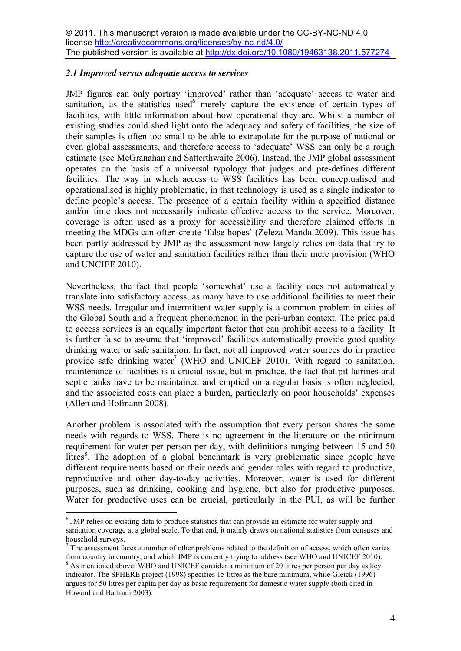### *2.1 Improved versus adequate access to services*

JMP figures can only portray 'improved' rather than 'adequate' access to water and sanitation, as the statistics used merely capture the existence of certain types of facilities, with little information about how operational they are. Whilst a number of existing studies could shed light onto the adequacy and safety of facilities, the size of their samples is often too small to be able to extrapolate for the purpose of national or even global assessments, and therefore access to 'adequate' WSS can only be a rough estimate (see McGranahan and Satterthwaite 2006). Instead, the JMP global assessment operates on the basis of a universal typology that judges and pre-defines different facilities. The way in which access to WSS facilities has been conceptualised and operationalised is highly problematic, in that technology is used as a single indicator to define people's access. The presence of a certain facility within a specified distance and/or time does not necessarily indicate effective access to the service. Moreover, coverage is often used as a proxy for accessibility and therefore claimed efforts in meeting the MDGs can often create 'false hopes' (Zeleza Manda 2009). This issue has been partly addressed by JMP as the assessment now largely relies on data that try to capture the use of water and sanitation facilities rather than their mere provision (WHO and UNCIEF 2010).

Nevertheless, the fact that people 'somewhat' use a facility does not automatically translate into satisfactory access, as many have to use additional facilities to meet their WSS needs. Irregular and intermittent water supply is a common problem in cities of the Global South and a frequent phenomenon in the peri-urban context. The price paid to access services is an equally important factor that can prohibit access to a facility. It is further false to assume that 'improved' facilities automatically provide good quality drinking water or safe sanitation. In fact, not all improved water sources do in practice provide safe drinking water<sup>7</sup> (WHO and UNICEF 2010). With regard to sanitation, maintenance of facilities is a crucial issue, but in practice, the fact that pit latrines and septic tanks have to be maintained and emptied on a regular basis is often neglected, and the associated costs can place a burden, particularly on poor households' expenses (Allen and Hofmann 2008).

Another problem is associated with the assumption that every person shares the same needs with regards to WSS. There is no agreement in the literature on the minimum requirement for water per person per day, with definitions ranging between 15 and 50 litres<sup>8</sup>. The adoption of a global benchmark is very problematic since people have different requirements based on their needs and gender roles with regard to productive, reproductive and other day-to-day activities. Moreover, water is used for different purposes, such as drinking, cooking and hygiene, but also for productive purposes. Water for productive uses can be crucial, particularly in the PUI, as will be further

<sup>&</sup>lt;sup>6</sup> JMP relies on existing data to produce statistics that can provide an estimate for water supply and sanitation coverage at a global scale. To that end, it mainly draws on national statistics from censuses and household surveys.

 $<sup>7</sup>$  The assessment faces a number of other problems related to the definition of access, which often varies</sup> from country to country, and which JMP is currently trying to address (see WHO and UNICEF 2010). 8 As mentioned above, WHO and UNICEF consider a minimum of 20 litres per person per day as key indicator. The SPHERE project (1998) specifies 15 litres as the bare minimum, while Gleick (1996) argues for 50 litres per capita per day as basic requirement for domestic water supply (both cited in Howard and Bartram 2003).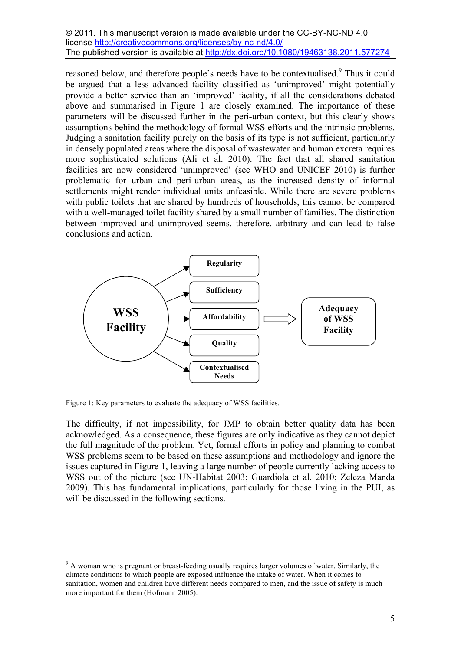reasoned below, and therefore people's needs have to be contextualised.<sup>9</sup> Thus it could be argued that a less advanced facility classified as 'unimproved' might potentially provide a better service than an 'improved' facility, if all the considerations debated above and summarised in Figure 1 are closely examined. The importance of these parameters will be discussed further in the peri-urban context, but this clearly shows assumptions behind the methodology of formal WSS efforts and the intrinsic problems. Judging a sanitation facility purely on the basis of its type is not sufficient, particularly in densely populated areas where the disposal of wastewater and human excreta requires more sophisticated solutions (Ali et al. 2010). The fact that all shared sanitation facilities are now considered 'unimproved' (see WHO and UNICEF 2010) is further problematic for urban and peri-urban areas, as the increased density of informal settlements might render individual units unfeasible. While there are severe problems with public toilets that are shared by hundreds of households, this cannot be compared with a well-managed toilet facility shared by a small number of families. The distinction between improved and unimproved seems, therefore, arbitrary and can lead to false conclusions and action.



Figure 1: Key parameters to evaluate the adequacy of WSS facilities.

The difficulty, if not impossibility, for JMP to obtain better quality data has been acknowledged. As a consequence, these figures are only indicative as they cannot depict the full magnitude of the problem. Yet, formal efforts in policy and planning to combat WSS problems seem to be based on these assumptions and methodology and ignore the issues captured in Figure 1, leaving a large number of people currently lacking access to WSS out of the picture (see UN-Habitat 2003; Guardiola et al. 2010; Zeleza Manda 2009). This has fundamental implications, particularly for those living in the PUI, as will be discussed in the following sections.

<sup>&</sup>lt;sup>9</sup> A woman who is pregnant or breast-feeding usually requires larger volumes of water. Similarly, the climate conditions to which people are exposed influence the intake of water. When it comes to sanitation, women and children have different needs compared to men, and the issue of safety is much more important for them (Hofmann 2005).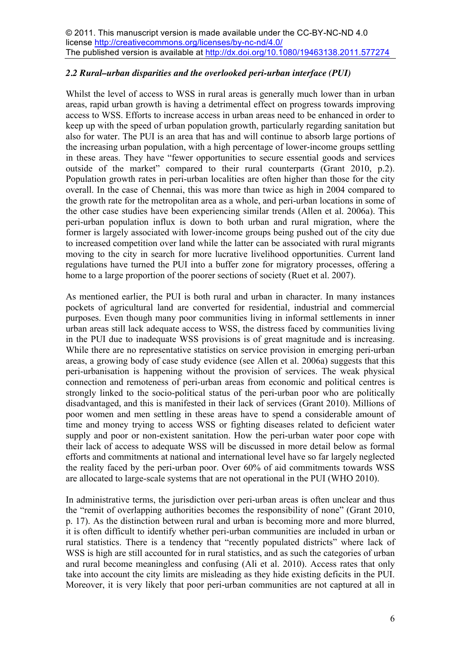## *2.2 Rural–urban disparities and the overlooked peri-urban interface (PUI)*

Whilst the level of access to WSS in rural areas is generally much lower than in urban areas, rapid urban growth is having a detrimental effect on progress towards improving access to WSS. Efforts to increase access in urban areas need to be enhanced in order to keep up with the speed of urban population growth, particularly regarding sanitation but also for water. The PUI is an area that has and will continue to absorb large portions of the increasing urban population, with a high percentage of lower-income groups settling in these areas. They have "fewer opportunities to secure essential goods and services outside of the market" compared to their rural counterparts (Grant 2010, p.2). Population growth rates in peri-urban localities are often higher than those for the city overall. In the case of Chennai, this was more than twice as high in 2004 compared to the growth rate for the metropolitan area as a whole, and peri-urban locations in some of the other case studies have been experiencing similar trends (Allen et al. 2006a). This peri-urban population influx is down to both urban and rural migration, where the former is largely associated with lower-income groups being pushed out of the city due to increased competition over land while the latter can be associated with rural migrants moving to the city in search for more lucrative livelihood opportunities. Current land regulations have turned the PUI into a buffer zone for migratory processes, offering a home to a large proportion of the poorer sections of society (Ruet et al. 2007).

As mentioned earlier, the PUI is both rural and urban in character. In many instances pockets of agricultural land are converted for residential, industrial and commercial purposes. Even though many poor communities living in informal settlements in inner urban areas still lack adequate access to WSS, the distress faced by communities living in the PUI due to inadequate WSS provisions is of great magnitude and is increasing. While there are no representative statistics on service provision in emerging peri-urban areas, a growing body of case study evidence (see Allen et al. 2006a) suggests that this peri-urbanisation is happening without the provision of services. The weak physical connection and remoteness of peri-urban areas from economic and political centres is strongly linked to the socio-political status of the peri-urban poor who are politically disadvantaged, and this is manifested in their lack of services (Grant 2010). Millions of poor women and men settling in these areas have to spend a considerable amount of time and money trying to access WSS or fighting diseases related to deficient water supply and poor or non-existent sanitation. How the peri-urban water poor cope with their lack of access to adequate WSS will be discussed in more detail below as formal efforts and commitments at national and international level have so far largely neglected the reality faced by the peri-urban poor. Over 60% of aid commitments towards WSS are allocated to large-scale systems that are not operational in the PUI (WHO 2010).

In administrative terms, the jurisdiction over peri-urban areas is often unclear and thus the "remit of overlapping authorities becomes the responsibility of none" (Grant 2010, p. 17). As the distinction between rural and urban is becoming more and more blurred, it is often difficult to identify whether peri-urban communities are included in urban or rural statistics. There is a tendency that "recently populated districts" where lack of WSS is high are still accounted for in rural statistics, and as such the categories of urban and rural become meaningless and confusing (Ali et al. 2010). Access rates that only take into account the city limits are misleading as they hide existing deficits in the PUI. Moreover, it is very likely that poor peri-urban communities are not captured at all in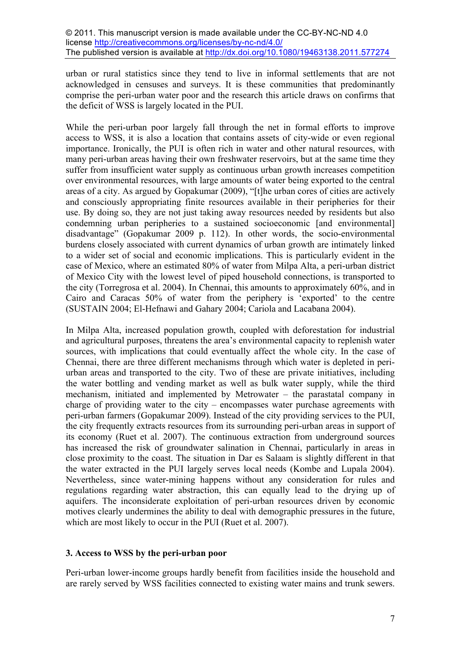urban or rural statistics since they tend to live in informal settlements that are not acknowledged in censuses and surveys. It is these communities that predominantly comprise the peri-urban water poor and the research this article draws on confirms that the deficit of WSS is largely located in the PUI.

While the peri-urban poor largely fall through the net in formal efforts to improve access to WSS, it is also a location that contains assets of city-wide or even regional importance. Ironically, the PUI is often rich in water and other natural resources, with many peri-urban areas having their own freshwater reservoirs, but at the same time they suffer from insufficient water supply as continuous urban growth increases competition over environmental resources, with large amounts of water being exported to the central areas of a city. As argued by Gopakumar (2009), "[t]he urban cores of cities are actively and consciously appropriating finite resources available in their peripheries for their use. By doing so, they are not just taking away resources needed by residents but also condemning urban peripheries to a sustained socioeconomic [and environmental] disadvantage" (Gopakumar 2009 p. 112). In other words, the socio-environmental burdens closely associated with current dynamics of urban growth are intimately linked to a wider set of social and economic implications. This is particularly evident in the case of Mexico, where an estimated 80% of water from Milpa Alta, a peri-urban district of Mexico City with the lowest level of piped household connections, is transported to the city (Torregrosa et al. 2004). In Chennai, this amounts to approximately 60%, and in Cairo and Caracas 50% of water from the periphery is 'exported' to the centre (SUSTAIN 2004; El-Hefnawi and Gahary 2004; Cariola and Lacabana 2004).

In Milpa Alta, increased population growth, coupled with deforestation for industrial and agricultural purposes, threatens the area's environmental capacity to replenish water sources, with implications that could eventually affect the whole city. In the case of Chennai, there are three different mechanisms through which water is depleted in periurban areas and transported to the city. Two of these are private initiatives, including the water bottling and vending market as well as bulk water supply, while the third mechanism, initiated and implemented by Metrowater – the parastatal company in charge of providing water to the city – encompasses water purchase agreements with peri-urban farmers (Gopakumar 2009). Instead of the city providing services to the PUI, the city frequently extracts resources from its surrounding peri-urban areas in support of its economy (Ruet et al. 2007). The continuous extraction from underground sources has increased the risk of groundwater salination in Chennai, particularly in areas in close proximity to the coast. The situation in Dar es Salaam is slightly different in that the water extracted in the PUI largely serves local needs (Kombe and Lupala 2004). Nevertheless, since water-mining happens without any consideration for rules and regulations regarding water abstraction, this can equally lead to the drying up of aquifers. The inconsiderate exploitation of peri-urban resources driven by economic motives clearly undermines the ability to deal with demographic pressures in the future, which are most likely to occur in the PUI (Ruet et al. 2007).

## **3. Access to WSS by the peri-urban poor**

Peri-urban lower-income groups hardly benefit from facilities inside the household and are rarely served by WSS facilities connected to existing water mains and trunk sewers.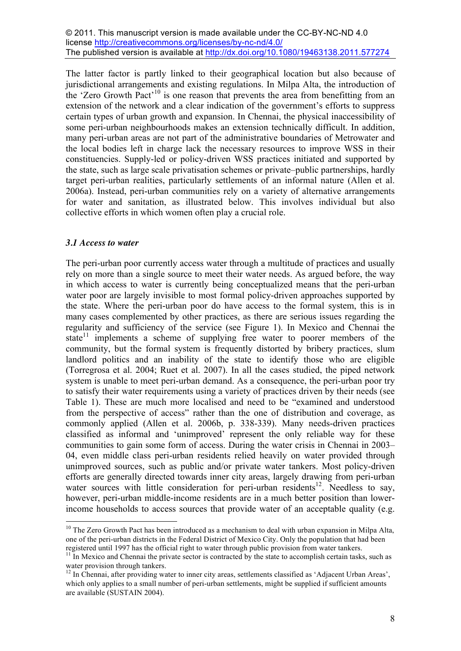The latter factor is partly linked to their geographical location but also because of jurisdictional arrangements and existing regulations. In Milpa Alta, the introduction of the 'Zero Growth Pact'10 is one reason that prevents the area from benefitting from an extension of the network and a clear indication of the government's efforts to suppress certain types of urban growth and expansion. In Chennai, the physical inaccessibility of some peri-urban neighbourhoods makes an extension technically difficult. In addition, many peri-urban areas are not part of the administrative boundaries of Metrowater and the local bodies left in charge lack the necessary resources to improve WSS in their constituencies. Supply-led or policy-driven WSS practices initiated and supported by the state, such as large scale privatisation schemes or private–public partnerships, hardly target peri-urban realities, particularly settlements of an informal nature (Allen et al. 2006a). Instead, peri-urban communities rely on a variety of alternative arrangements for water and sanitation, as illustrated below. This involves individual but also collective efforts in which women often play a crucial role.

### *3.1 Access to water*

The peri-urban poor currently access water through a multitude of practices and usually rely on more than a single source to meet their water needs. As argued before, the way in which access to water is currently being conceptualized means that the peri-urban water poor are largely invisible to most formal policy-driven approaches supported by the state. Where the peri-urban poor do have access to the formal system, this is in many cases complemented by other practices, as there are serious issues regarding the regularity and sufficiency of the service (see Figure 1). In Mexico and Chennai the state<sup>11</sup> implements a scheme of supplying free water to poorer members of the community, but the formal system is frequently distorted by bribery practices, slum landlord politics and an inability of the state to identify those who are eligible (Torregrosa et al. 2004; Ruet et al. 2007). In all the cases studied, the piped network system is unable to meet peri-urban demand. As a consequence, the peri-urban poor try to satisfy their water requirements using a variety of practices driven by their needs (see Table 1). These are much more localised and need to be "examined and understood from the perspective of access" rather than the one of distribution and coverage, as commonly applied (Allen et al. 2006b, p. 338-339). Many needs-driven practices classified as informal and 'unimproved' represent the only reliable way for these communities to gain some form of access. During the water crisis in Chennai in 2003– 04, even middle class peri-urban residents relied heavily on water provided through unimproved sources, such as public and/or private water tankers. Most policy-driven efforts are generally directed towards inner city areas, largely drawing from peri-urban water sources with little consideration for peri-urban residents<sup>12</sup>. Needless to say, however, peri-urban middle-income residents are in a much better position than lowerincome households to access sources that provide water of an acceptable quality (e.g.

<sup>&</sup>lt;sup>10</sup> The Zero Growth Pact has been introduced as a mechanism to deal with urban expansion in Milpa Alta, one of the peri-urban districts in the Federal District of Mexico City. Only the population that had been registered until 1997 has the official right to water through public provision from water tankers.

 $11$  In Mexico and Chennai the private sector is contracted by the state to accomplish certain tasks, such as water provision through tankers.

<sup>&</sup>lt;sup>12</sup> In Chennai, after providing water to inner city areas, settlements classified as 'Adjacent Urban Areas', which only applies to a small number of peri-urban settlements, might be supplied if sufficient amounts are available (SUSTAIN 2004).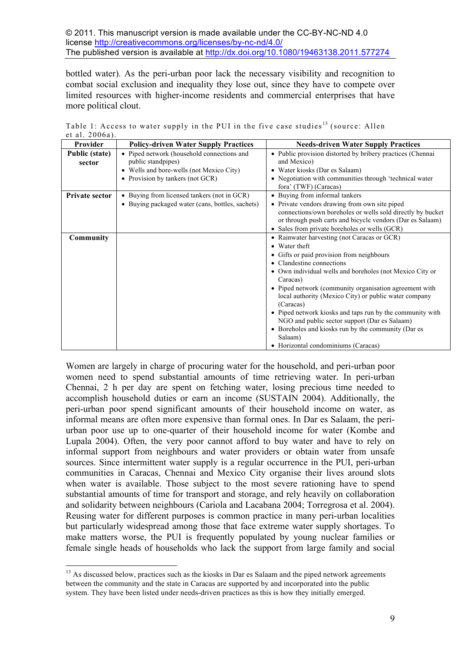bottled water). As the peri-urban poor lack the necessary visibility and recognition to combat social exclusion and inequality they lose out, since they have to compete over limited resources with higher-income residents and commercial enterprises that have more political clout.

| Provider                        | <b>Policy-driven Water Supply Practices</b>                                                                                                      | <b>Needs-driven Water Supply Practices</b>                                                                                                                                                                                                                                                                                                                                                                                                                                                                                                                            |
|---------------------------------|--------------------------------------------------------------------------------------------------------------------------------------------------|-----------------------------------------------------------------------------------------------------------------------------------------------------------------------------------------------------------------------------------------------------------------------------------------------------------------------------------------------------------------------------------------------------------------------------------------------------------------------------------------------------------------------------------------------------------------------|
| <b>Public (state)</b><br>sector | • Piped network (household connections and<br>public standpipes)<br>• Wells and bore-wells (not Mexico City)<br>• Provision by tankers (not GCR) | • Public provision distorted by bribery practices (Chennai<br>and Mexico)<br>• Water kiosks (Dar es Salaam)<br>• Negotiation with communities through 'technical water<br>fora' (TWF) (Caracas)                                                                                                                                                                                                                                                                                                                                                                       |
| <b>Private sector</b>           | • Buying from licensed tankers (not in GCR)<br>• Buying packaged water (cans, bottles, sachets)                                                  | • Buying from informal tankers<br>• Private vendors drawing from own site piped<br>connections/own boreholes or wells sold directly by bucket<br>or through push carts and bicycle vendors (Dar es Salaam)<br>• Sales from private boreholes or wells (GCR)                                                                                                                                                                                                                                                                                                           |
| Community                       |                                                                                                                                                  | • Rainwater harvesting (not Caracas or GCR)<br>• Water theft<br>• Gifts or paid provision from neighbours<br>• Clandestine connections<br>• Own individual wells and boreholes (not Mexico City or<br>Caracas)<br>• Piped network (community organisation agreement with<br>local authority (Mexico City) or public water company<br>(Caracas)<br>• Piped network kiosks and taps run by the community with<br>NGO and public sector support (Dar es Salaam)<br>• Boreholes and kiosks run by the community (Dar es<br>Salaam)<br>• Horizontal condominiums (Caracas) |

Table 1: Access to water supply in the PUI in the five case studies<sup>13</sup> (source: Allen et al. 2006a).

Women are largely in charge of procuring water for the household, and peri-urban poor women need to spend substantial amounts of time retrieving water. In peri-urban Chennai, 2 h per day are spent on fetching water, losing precious time needed to accomplish household duties or earn an income (SUSTAIN 2004). Additionally, the peri-urban poor spend significant amounts of their household income on water, as informal means are often more expensive than formal ones. In Dar es Salaam, the periurban poor use up to one-quarter of their household income for water (Kombe and Lupala 2004). Often, the very poor cannot afford to buy water and have to rely on informal support from neighbours and water providers or obtain water from unsafe sources. Since intermittent water supply is a regular occurrence in the PUI, peri-urban communities in Caracas, Chennai and Mexico City organise their lives around slots when water is available. Those subject to the most severe rationing have to spend substantial amounts of time for transport and storage, and rely heavily on collaboration and solidarity between neighbours (Cariola and Lacabana 2004; Torregrosa et al. 2004). Reusing water for different purposes is common practice in many peri-urban localities but particularly widespread among those that face extreme water supply shortages. To make matters worse, the PUI is frequently populated by young nuclear families or female single heads of households who lack the support from large family and social

<sup>&</sup>lt;sup>13</sup> As discussed below, practices such as the kiosks in Dar es Salaam and the piped network agreements between the community and the state in Caracas are supported by and incorporated into the public system. They have been listed under needs-driven practices as this is how they initially emerged.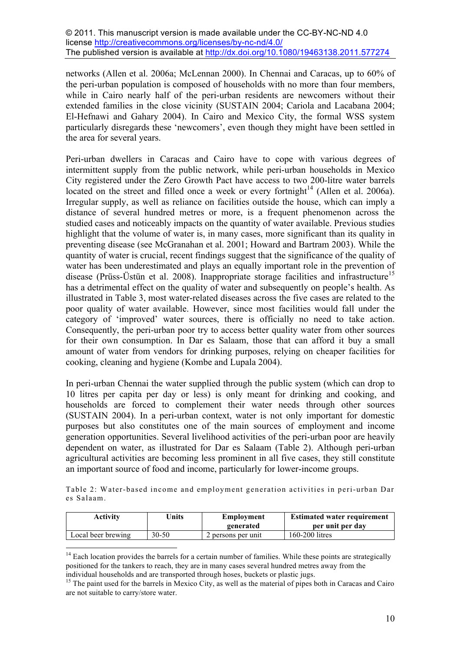networks (Allen et al. 2006a; McLennan 2000). In Chennai and Caracas, up to 60% of the peri-urban population is composed of households with no more than four members, while in Cairo nearly half of the peri-urban residents are newcomers without their extended families in the close vicinity (SUSTAIN 2004; Cariola and Lacabana 2004; El-Hefnawi and Gahary 2004). In Cairo and Mexico City, the formal WSS system particularly disregards these 'newcomers', even though they might have been settled in the area for several years.

Peri-urban dwellers in Caracas and Cairo have to cope with various degrees of intermittent supply from the public network, while peri-urban households in Mexico City registered under the Zero Growth Pact have access to two 200-litre water barrels located on the street and filled once a week or every fortnight<sup>14</sup> (Allen et al. 2006a). Irregular supply, as well as reliance on facilities outside the house, which can imply a distance of several hundred metres or more, is a frequent phenomenon across the studied cases and noticeably impacts on the quantity of water available. Previous studies highlight that the volume of water is, in many cases, more significant than its quality in preventing disease (see McGranahan et al. 2001; Howard and Bartram 2003). While the quantity of water is crucial, recent findings suggest that the significance of the quality of water has been underestimated and plays an equally important role in the prevention of disease (Prüss-Üstün et al. 2008). Inappropriate storage facilities and infrastructure<sup>15</sup> has a detrimental effect on the quality of water and subsequently on people's health. As illustrated in Table 3, most water-related diseases across the five cases are related to the poor quality of water available. However, since most facilities would fall under the category of 'improved' water sources, there is officially no need to take action. Consequently, the peri-urban poor try to access better quality water from other sources for their own consumption. In Dar es Salaam, those that can afford it buy a small amount of water from vendors for drinking purposes, relying on cheaper facilities for cooking, cleaning and hygiene (Kombe and Lupala 2004).

In peri-urban Chennai the water supplied through the public system (which can drop to 10 litres per capita per day or less) is only meant for drinking and cooking, and households are forced to complement their water needs through other sources (SUSTAIN 2004). In a peri-urban context, water is not only important for domestic purposes but also constitutes one of the main sources of employment and income generation opportunities. Several livelihood activities of the peri-urban poor are heavily dependent on water, as illustrated for Dar es Salaam (Table 2). Although peri-urban agricultural activities are becoming less prominent in all five cases, they still constitute an important source of food and income, particularly for lower-income groups.

Table 2: Water-based income and employment generation activities in peri-urban Dar es Salaam.

| <b>Activity</b>    | Units | Employment<br>generated | <b>Estimated water requirement</b><br>per unit per day |
|--------------------|-------|-------------------------|--------------------------------------------------------|
| Local beer brewing | 30-50 | 2 persons per unit      | $160-200$ litres                                       |

 $<sup>14</sup>$  Each location provides the barrels for a certain number of families. While these points are strategically</sup> positioned for the tankers to reach, they are in many cases several hundred metres away from the

individual households and are transported through hoses, buckets or plastic jugs.<br><sup>15</sup> The paint used for the barrels in Mexico City, as well as the material of pipes both in Caracas and Cairo are not suitable to carry/store water.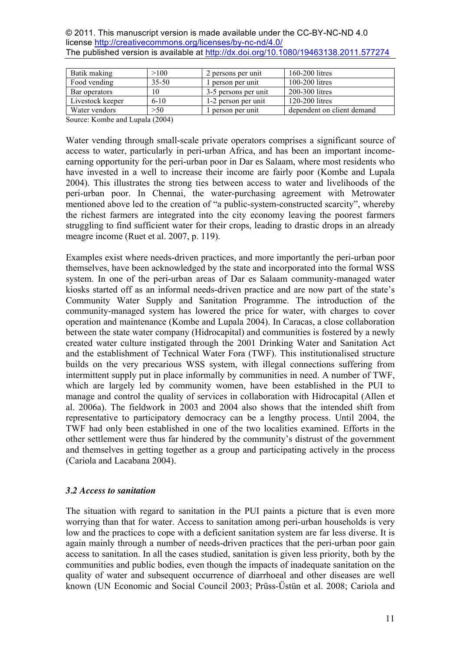| Batik making<br>>100 |           | 2 persons per unit   | $160-200$ litres           |  |
|----------------------|-----------|----------------------|----------------------------|--|
| Food vending         | $35 - 50$ | l person per unit    | $100-200$ litres           |  |
| Bar operators        | 10        | 3-5 persons per unit | 200-300 litres             |  |
| Livestock keeper     | $6-10$    | 1-2 person per unit  | $120-200$ litres           |  |
| Water vendors        | >50       | person per unit      | dependent on client demand |  |

Source: Kombe and Lupala (2004)

Water vending through small-scale private operators comprises a significant source of access to water, particularly in peri-urban Africa, and has been an important incomeearning opportunity for the peri-urban poor in Dar es Salaam, where most residents who have invested in a well to increase their income are fairly poor (Kombe and Lupala 2004). This illustrates the strong ties between access to water and livelihoods of the peri-urban poor. In Chennai, the water-purchasing agreement with Metrowater mentioned above led to the creation of "a public-system-constructed scarcity", whereby the richest farmers are integrated into the city economy leaving the poorest farmers struggling to find sufficient water for their crops, leading to drastic drops in an already meagre income (Ruet et al. 2007, p. 119).

Examples exist where needs-driven practices, and more importantly the peri-urban poor themselves, have been acknowledged by the state and incorporated into the formal WSS system. In one of the peri-urban areas of Dar es Salaam community-managed water kiosks started off as an informal needs-driven practice and are now part of the state's Community Water Supply and Sanitation Programme. The introduction of the community-managed system has lowered the price for water, with charges to cover operation and maintenance (Kombe and Lupala 2004). In Caracas, a close collaboration between the state water company (Hidrocapital) and communities is fostered by a newly created water culture instigated through the 2001 Drinking Water and Sanitation Act and the establishment of Technical Water Fora (TWF). This institutionalised structure builds on the very precarious WSS system, with illegal connections suffering from intermittent supply put in place informally by communities in need. A number of TWF, which are largely led by community women, have been established in the PUI to manage and control the quality of services in collaboration with Hidrocapital (Allen et al. 2006a). The fieldwork in 2003 and 2004 also shows that the intended shift from representative to participatory democracy can be a lengthy process. Until 2004, the TWF had only been established in one of the two localities examined. Efforts in the other settlement were thus far hindered by the community's distrust of the government and themselves in getting together as a group and participating actively in the process (Cariola and Lacabana 2004).

#### *3.2 Access to sanitation*

The situation with regard to sanitation in the PUI paints a picture that is even more worrying than that for water. Access to sanitation among peri-urban households is very low and the practices to cope with a deficient sanitation system are far less diverse. It is again mainly through a number of needs-driven practices that the peri-urban poor gain access to sanitation. In all the cases studied, sanitation is given less priority, both by the communities and public bodies, even though the impacts of inadequate sanitation on the quality of water and subsequent occurrence of diarrhoeal and other diseases are well known (UN Economic and Social Council 2003; Prüss-Üstün et al. 2008; Cariola and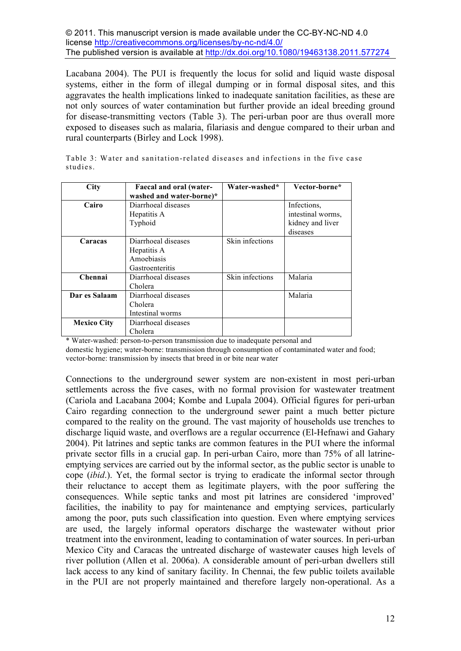Lacabana 2004). The PUI is frequently the locus for solid and liquid waste disposal systems, either in the form of illegal dumping or in formal disposal sites, and this aggravates the health implications linked to inadequate sanitation facilities, as these are not only sources of water contamination but further provide an ideal breeding ground for disease-transmitting vectors (Table 3). The peri-urban poor are thus overall more exposed to diseases such as malaria, filariasis and dengue compared to their urban and rural counterparts (Birley and Lock 1998).

Table 3: Water and sanitation-related diseases and infections in the five case studies.

| City               | <b>Faecal and oral (water-</b> | Water-washed*   | Vector-borne*     |
|--------------------|--------------------------------|-----------------|-------------------|
|                    | washed and water-borne)*       |                 |                   |
| Cairo              | Diarrhoeal diseases            |                 | Infections.       |
|                    | Hepatitis A                    |                 | intestinal worms, |
|                    | Typhoid                        |                 | kidney and liver  |
|                    |                                |                 | diseases          |
| Caracas            | Diarrhoeal diseases            | Skin infections |                   |
|                    | Hepatitis A                    |                 |                   |
|                    | Amoebiasis                     |                 |                   |
|                    | Gastroenteritis                |                 |                   |
| Chennai            | Diarrhoeal diseases            | Skin infections | Malaria           |
|                    | Cholera                        |                 |                   |
| Dar es Salaam      | Diarrhoeal diseases            |                 | Malaria           |
|                    | Cholera                        |                 |                   |
|                    | Intestinal worms               |                 |                   |
| <b>Mexico City</b> | Diarrhoeal diseases            |                 |                   |
|                    | Cholera                        |                 |                   |

\* Water-washed: person-to-person transmission due to inadequate personal and

domestic hygiene; water-borne: transmission through consumption of contaminated water and food; vector-borne: transmission by insects that breed in or bite near water

Connections to the underground sewer system are non-existent in most peri-urban settlements across the five cases, with no formal provision for wastewater treatment (Cariola and Lacabana 2004; Kombe and Lupala 2004). Official figures for peri-urban Cairo regarding connection to the underground sewer paint a much better picture compared to the reality on the ground. The vast majority of households use trenches to discharge liquid waste, and overflows are a regular occurrence (El-Hefnawi and Gahary 2004). Pit latrines and septic tanks are common features in the PUI where the informal private sector fills in a crucial gap. In peri-urban Cairo, more than 75% of all latrineemptying services are carried out by the informal sector, as the public sector is unable to cope (*ibid*.). Yet, the formal sector is trying to eradicate the informal sector through their reluctance to accept them as legitimate players, with the poor suffering the consequences. While septic tanks and most pit latrines are considered 'improved' facilities, the inability to pay for maintenance and emptying services, particularly among the poor, puts such classification into question. Even where emptying services are used, the largely informal operators discharge the wastewater without prior treatment into the environment, leading to contamination of water sources. In peri-urban Mexico City and Caracas the untreated discharge of wastewater causes high levels of river pollution (Allen et al. 2006a). A considerable amount of peri-urban dwellers still lack access to any kind of sanitary facility. In Chennai, the few public toilets available in the PUI are not properly maintained and therefore largely non-operational. As a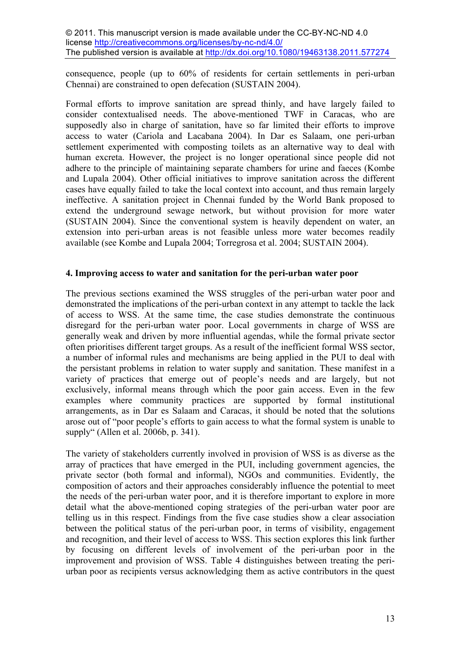consequence, people (up to 60% of residents for certain settlements in peri-urban Chennai) are constrained to open defecation (SUSTAIN 2004).

Formal efforts to improve sanitation are spread thinly, and have largely failed to consider contextualised needs. The above-mentioned TWF in Caracas, who are supposedly also in charge of sanitation, have so far limited their efforts to improve access to water (Cariola and Lacabana 2004). In Dar es Salaam, one peri-urban settlement experimented with composting toilets as an alternative way to deal with human excreta. However, the project is no longer operational since people did not adhere to the principle of maintaining separate chambers for urine and faeces (Kombe and Lupala 2004). Other official initiatives to improve sanitation across the different cases have equally failed to take the local context into account, and thus remain largely ineffective. A sanitation project in Chennai funded by the World Bank proposed to extend the underground sewage network, but without provision for more water (SUSTAIN 2004). Since the conventional system is heavily dependent on water, an extension into peri-urban areas is not feasible unless more water becomes readily available (see Kombe and Lupala 2004; Torregrosa et al. 2004; SUSTAIN 2004).

#### **4. Improving access to water and sanitation for the peri-urban water poor**

The previous sections examined the WSS struggles of the peri-urban water poor and demonstrated the implications of the peri-urban context in any attempt to tackle the lack of access to WSS. At the same time, the case studies demonstrate the continuous disregard for the peri-urban water poor. Local governments in charge of WSS are generally weak and driven by more influential agendas, while the formal private sector often prioritises different target groups. As a result of the inefficient formal WSS sector, a number of informal rules and mechanisms are being applied in the PUI to deal with the persistant problems in relation to water supply and sanitation. These manifest in a variety of practices that emerge out of people's needs and are largely, but not exclusively, informal means through which the poor gain access. Even in the few examples where community practices are supported by formal institutional arrangements, as in Dar es Salaam and Caracas, it should be noted that the solutions arose out of "poor people's efforts to gain access to what the formal system is unable to supply" (Allen et al. 2006b, p. 341).

The variety of stakeholders currently involved in provision of WSS is as diverse as the array of practices that have emerged in the PUI, including government agencies, the private sector (both formal and informal), NGOs and communities. Evidently, the composition of actors and their approaches considerably influence the potential to meet the needs of the peri-urban water poor, and it is therefore important to explore in more detail what the above-mentioned coping strategies of the peri-urban water poor are telling us in this respect. Findings from the five case studies show a clear association between the political status of the peri-urban poor, in terms of visibility, engagement and recognition, and their level of access to WSS. This section explores this link further by focusing on different levels of involvement of the peri-urban poor in the improvement and provision of WSS. Table 4 distinguishes between treating the periurban poor as recipients versus acknowledging them as active contributors in the quest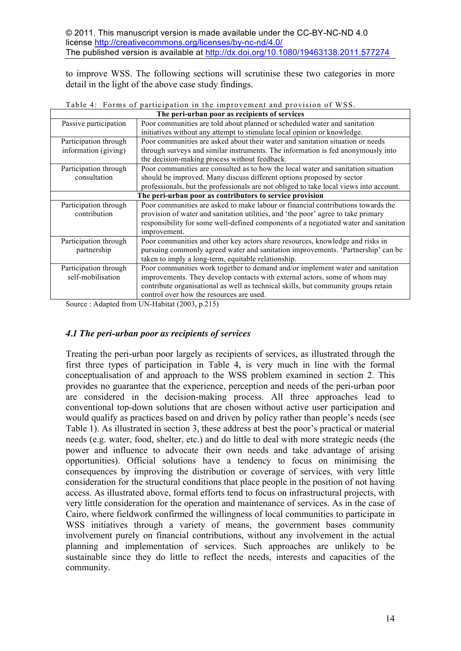to improve WSS. The following sections will scrutinise these two categories in more detail in the light of the above case study findings.

| The peri-urban poor as recipients of services            |                                                                                        |  |  |
|----------------------------------------------------------|----------------------------------------------------------------------------------------|--|--|
| Passive participation                                    | Poor communities are told about planned or scheduled water and sanitation              |  |  |
|                                                          | initiatives without any attempt to stimulate local opinion or knowledge.               |  |  |
| Participation through                                    | Poor communities are asked about their water and sanitation situation or needs         |  |  |
| information (giving)                                     | through surveys and similar instruments. The information is fed anonymously into       |  |  |
|                                                          | the decision-making process without feedback.                                          |  |  |
| Participation through                                    | Poor communities are consulted as to how the local water and sanitation situation      |  |  |
| consultation                                             | should be improved. Many discuss different options proposed by sector                  |  |  |
|                                                          | professionals, but the professionals are not obliged to take local views into account. |  |  |
| The peri-urban poor as contributors to service provision |                                                                                        |  |  |
| Participation through                                    | Poor communities are asked to make labour or financial contributions towards the       |  |  |
| contribution                                             | provision of water and sanitation utilities, and 'the poor' agree to take primary      |  |  |
|                                                          | responsibility for some well-defined components of a negotiated water and sanitation   |  |  |
|                                                          | improvement.                                                                           |  |  |
| Participation through                                    | Poor communities and other key actors share resources, knowledge and risks in          |  |  |
| partnership                                              | pursuing commonly agreed water and sanitation improvements. 'Partnership' can be       |  |  |
|                                                          | taken to imply a long-term, equitable relationship.                                    |  |  |
| Participation through                                    | Poor communities work together to demand and/or implement water and sanitation         |  |  |
| self-mobilisation                                        | improvements. They develop contacts with external actors, some of whom may             |  |  |
|                                                          | contribute organisational as well as technical skills, but community groups retain     |  |  |
|                                                          | control over how the resources are used.                                               |  |  |

Source : Adapted from UN-Habitat (2003, p.215)

## *4.1 The peri-urban poor as recipients of services*

Treating the peri-urban poor largely as recipients of services, as illustrated through the first three types of participation in Table 4, is very much in line with the formal conceptualisation of and approach to the WSS problem examined in section 2. This provides no guarantee that the experience, perception and needs of the peri-urban poor are considered in the decision-making process. All three approaches lead to conventional top-down solutions that are chosen without active user participation and would qualify as practices based on and driven by policy rather than people's needs (see Table 1). As illustrated in section 3, these address at best the poor's practical or material needs (e.g. water, food, shelter, etc.) and do little to deal with more strategic needs (the power and influence to advocate their own needs and take advantage of arising opportunities). Official solutions have a tendency to focus on minimising the consequences by improving the distribution or coverage of services, with very little consideration for the structural conditions that place people in the position of not having access. As illustrated above, formal efforts tend to focus on infrastructural projects, with very little consideration for the operation and maintenance of services. As in the case of Cairo, where fieldwork confirmed the willingness of local communities to participate in WSS initiatives through a variety of means, the government bases community involvement purely on financial contributions, without any involvement in the actual planning and implementation of services. Such approaches are unlikely to be sustainable since they do little to reflect the needs, interests and capacities of the community.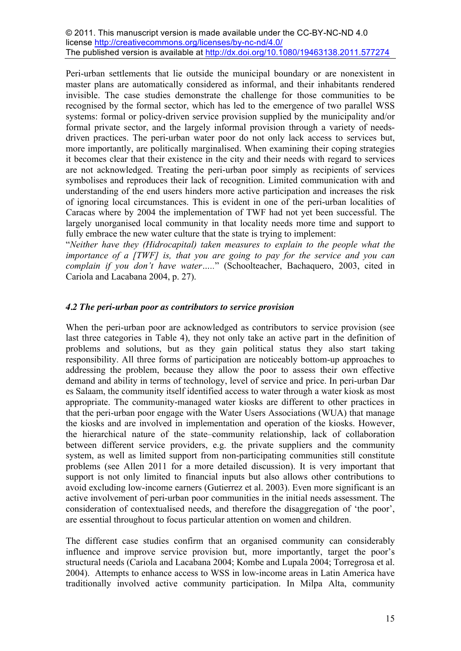Peri-urban settlements that lie outside the municipal boundary or are nonexistent in master plans are automatically considered as informal, and their inhabitants rendered invisible. The case studies demonstrate the challenge for those communities to be recognised by the formal sector, which has led to the emergence of two parallel WSS systems: formal or policy-driven service provision supplied by the municipality and/or formal private sector, and the largely informal provision through a variety of needsdriven practices. The peri-urban water poor do not only lack access to services but, more importantly, are politically marginalised. When examining their coping strategies it becomes clear that their existence in the city and their needs with regard to services are not acknowledged. Treating the peri-urban poor simply as recipients of services symbolises and reproduces their lack of recognition. Limited communication with and understanding of the end users hinders more active participation and increases the risk of ignoring local circumstances. This is evident in one of the peri-urban localities of Caracas where by 2004 the implementation of TWF had not yet been successful. The largely unorganised local community in that locality needs more time and support to fully embrace the new water culture that the state is trying to implement:

"*Neither have they (Hidrocapital) taken measures to explain to the people what the importance of a [TWF] is, that you are going to pay for the service and you can complain if you don't have water…..*" (Schoolteacher, Bachaquero, 2003, cited in Cariola and Lacabana 2004, p. 27).

## *4.2 The peri-urban poor as contributors to service provision*

When the peri-urban poor are acknowledged as contributors to service provision (see last three categories in Table 4), they not only take an active part in the definition of problems and solutions, but as they gain political status they also start taking responsibility. All three forms of participation are noticeably bottom-up approaches to addressing the problem, because they allow the poor to assess their own effective demand and ability in terms of technology, level of service and price. In peri-urban Dar es Salaam, the community itself identified access to water through a water kiosk as most appropriate. The community-managed water kiosks are different to other practices in that the peri-urban poor engage with the Water Users Associations (WUA) that manage the kiosks and are involved in implementation and operation of the kiosks. However, the hierarchical nature of the state–community relationship, lack of collaboration between different service providers, e.g. the private suppliers and the community system, as well as limited support from non-participating communities still constitute problems (see Allen 2011 for a more detailed discussion). It is very important that support is not only limited to financial inputs but also allows other contributions to avoid excluding low-income earners (Gutierrez et al. 2003). Even more significant is an active involvement of peri-urban poor communities in the initial needs assessment. The consideration of contextualised needs, and therefore the disaggregation of 'the poor', are essential throughout to focus particular attention on women and children.

The different case studies confirm that an organised community can considerably influence and improve service provision but, more importantly, target the poor's structural needs (Cariola and Lacabana 2004; Kombe and Lupala 2004; Torregrosa et al. 2004). Attempts to enhance access to WSS in low-income areas in Latin America have traditionally involved active community participation. In Milpa Alta, community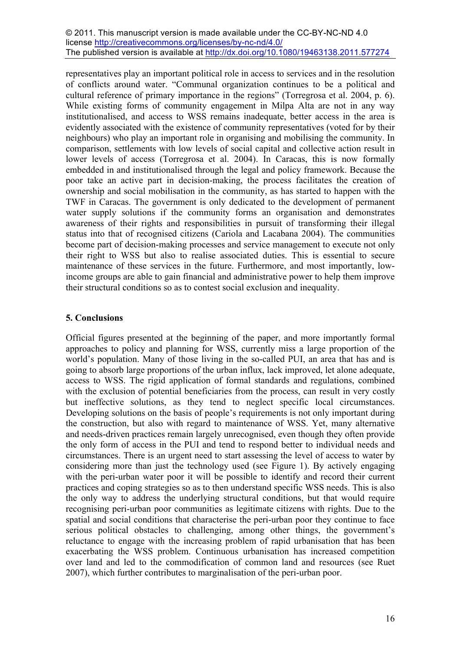representatives play an important political role in access to services and in the resolution of conflicts around water. "Communal organization continues to be a political and cultural reference of primary importance in the regions" (Torregrosa et al. 2004, p. 6). While existing forms of community engagement in Milpa Alta are not in any way institutionalised, and access to WSS remains inadequate, better access in the area is evidently associated with the existence of community representatives (voted for by their neighbours) who play an important role in organising and mobilising the community. In comparison, settlements with low levels of social capital and collective action result in lower levels of access (Torregrosa et al. 2004). In Caracas, this is now formally embedded in and institutionalised through the legal and policy framework. Because the poor take an active part in decision-making, the process facilitates the creation of ownership and social mobilisation in the community, as has started to happen with the TWF in Caracas. The government is only dedicated to the development of permanent water supply solutions if the community forms an organisation and demonstrates awareness of their rights and responsibilities in pursuit of transforming their illegal status into that of recognised citizens (Cariola and Lacabana 2004). The communities become part of decision-making processes and service management to execute not only their right to WSS but also to realise associated duties. This is essential to secure maintenance of these services in the future. Furthermore, and most importantly, lowincome groups are able to gain financial and administrative power to help them improve their structural conditions so as to contest social exclusion and inequality.

## **5. Conclusions**

Official figures presented at the beginning of the paper, and more importantly formal approaches to policy and planning for WSS, currently miss a large proportion of the world's population. Many of those living in the so-called PUI, an area that has and is going to absorb large proportions of the urban influx, lack improved, let alone adequate, access to WSS. The rigid application of formal standards and regulations, combined with the exclusion of potential beneficiaries from the process, can result in very costly but ineffective solutions, as they tend to neglect specific local circumstances. Developing solutions on the basis of people's requirements is not only important during the construction, but also with regard to maintenance of WSS. Yet, many alternative and needs-driven practices remain largely unrecognised, even though they often provide the only form of access in the PUI and tend to respond better to individual needs and circumstances. There is an urgent need to start assessing the level of access to water by considering more than just the technology used (see Figure 1). By actively engaging with the peri-urban water poor it will be possible to identify and record their current practices and coping strategies so as to then understand specific WSS needs. This is also the only way to address the underlying structural conditions, but that would require recognising peri-urban poor communities as legitimate citizens with rights. Due to the spatial and social conditions that characterise the peri-urban poor they continue to face serious political obstacles to challenging, among other things, the government's reluctance to engage with the increasing problem of rapid urbanisation that has been exacerbating the WSS problem. Continuous urbanisation has increased competition over land and led to the commodification of common land and resources (see Ruet 2007), which further contributes to marginalisation of the peri-urban poor.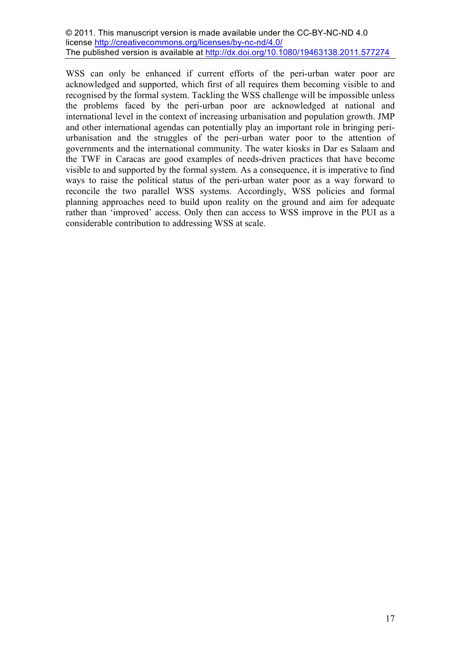WSS can only be enhanced if current efforts of the peri-urban water poor are acknowledged and supported, which first of all requires them becoming visible to and recognised by the formal system. Tackling the WSS challenge will be impossible unless the problems faced by the peri-urban poor are acknowledged at national and international level in the context of increasing urbanisation and population growth. JMP and other international agendas can potentially play an important role in bringing periurbanisation and the struggles of the peri-urban water poor to the attention of governments and the international community. The water kiosks in Dar es Salaam and the TWF in Caracas are good examples of needs-driven practices that have become visible to and supported by the formal system. As a consequence, it is imperative to find ways to raise the political status of the peri-urban water poor as a way forward to reconcile the two parallel WSS systems. Accordingly, WSS policies and formal planning approaches need to build upon reality on the ground and aim for adequate rather than 'improved' access. Only then can access to WSS improve in the PUI as a considerable contribution to addressing WSS at scale.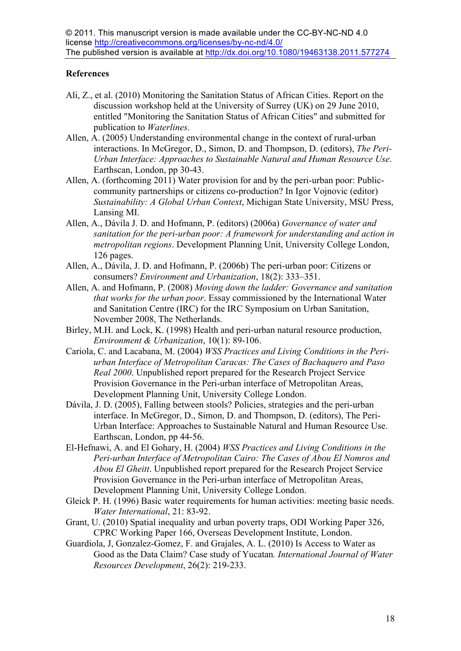## **References**

- Ali, Z., et al. (2010) Monitoring the Sanitation Status of African Cities. Report on the discussion workshop held at the University of Surrey (UK) on 29 June 2010, entitled "Monitoring the Sanitation Status of African Cities" and submitted for publication to *Waterlines*.
- Allen, A. (2005) Understanding environmental change in the context of rural-urban interactions. In McGregor, D., Simon, D. and Thompson, D. (editors), *The Peri-Urban Interface: Approaches to Sustainable Natural and Human Resource Use*. Earthscan, London, pp 30-43.
- Allen, A. (forthcoming 2011) Water provision for and by the peri-urban poor: Publiccommunity partnerships or citizens co-production? In Igor Vojnovic (editor) *Sustainability: A Global Urban Context*, Michigan State University, MSU Press, Lansing MI.
- Allen, A., Dávila J. D. and Hofmann, P. (editors) (2006a) *Governance of water and sanitation for the peri-urban poor: A framework for understanding and action in metropolitan regions*. Development Planning Unit, University College London, 126 pages.
- Allen, A., Dávila, J. D. and Hofmann, P. (2006b) The peri-urban poor: Citizens or consumers? *Environment and Urbanization*, 18(2): 333–351.
- Allen, A. and Hofmann, P. (2008) *Moving down the ladder: Governance and sanitation that works for the urban poor*. Essay commissioned by the International Water and Sanitation Centre (IRC) for the IRC Symposium on Urban Sanitation, November 2008, The Netherlands.
- Birley, M.H. and Lock, K. (1998) Health and peri-urban natural resource production, *Environment & Urbanization*, 10(1): 89-106.
- Cariola, C. and Lacabana, M. (2004) *WSS Practices and Living Conditions in the Periurban Interface of Metropolitan Caracas: The Cases of Bachaquero and Paso Real 2000*. Unpublished report prepared for the Research Project Service Provision Governance in the Peri-urban interface of Metropolitan Areas, Development Planning Unit, University College London.
- Dávila, J. D. (2005), Falling between stools? Policies, strategies and the peri-urban interface. In McGregor, D., Simon, D. and Thompson, D. (editors), The Peri-Urban Interface: Approaches to Sustainable Natural and Human Resource Use. Earthscan, London, pp 44-56.
- El-Hefnawi, A. and El Gohary, H. (2004) *WSS Practices and Living Conditions in the Peri-urban Interface of Metropolitan Cairo: The Cases of Abou El Nomros and Abou El Gheitt*. Unpublished report prepared for the Research Project Service Provision Governance in the Peri-urban interface of Metropolitan Areas, Development Planning Unit, University College London.
- Gleick P. H. (1996) Basic water requirements for human activities: meeting basic needs. *Water International*, 21: 83-92.
- Grant, U. (2010) Spatial inequality and urban poverty traps, ODI Working Paper 326, CPRC Working Paper 166, Overseas Development Institute, London.
- Guardiola, J, Gonzalez-Gomez, F. and Grajales, A. L. (2010) Is Access to Water as Good as the Data Claim? Case study of Yucatan*. International Journal of Water Resources Development*, 26(2): 219-233.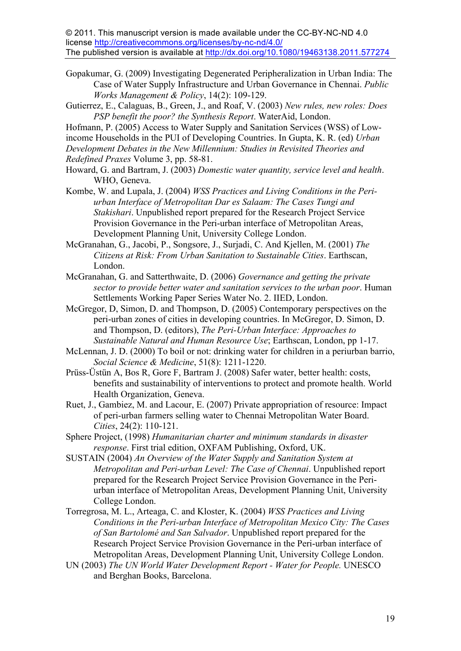Gopakumar, G. (2009) Investigating Degenerated Peripheralization in Urban India: The Case of Water Supply Infrastructure and Urban Governance in Chennai. *Public Works Management & Policy*, 14(2): 109-129.

Gutierrez, E., Calaguas, B., Green, J., and Roaf, V. (2003) *New rules, new roles: Does PSP benefit the poor? the Synthesis Report*. WaterAid, London.

Hofmann, P. (2005) Access to Water Supply and Sanitation Services (WSS) of Lowincome Households in the PUI of Developing Countries. In Gupta, K. R. (ed) *Urban Development Debates in the New Millennium: Studies in Revisited Theories and* 

*Redefined Praxes* Volume 3, pp. 58-81.

Howard, G. and Bartram, J. (2003) *Domestic water quantity, service level and health*. WHO, Geneva.

Kombe, W. and Lupala, J. (2004) *WSS Practices and Living Conditions in the Periurban Interface of Metropolitan Dar es Salaam: The Cases Tungi and Stakishari*. Unpublished report prepared for the Research Project Service Provision Governance in the Peri-urban interface of Metropolitan Areas, Development Planning Unit, University College London.

McGranahan, G., Jacobi, P., Songsore, J., Surjadi, C. And Kjellen, M. (2001) *The Citizens at Risk: From Urban Sanitation to Sustainable Cities*. Earthscan, London.

McGranahan, G. and Satterthwaite, D. (2006) *Governance and getting the private sector to provide better water and sanitation services to the urban poor*. Human Settlements Working Paper Series Water No. 2. IIED, London.

- McGregor, D, Simon, D. and Thompson, D. (2005) Contemporary perspectives on the peri-urban zones of cities in developing countries. In McGregor, D. Simon, D. and Thompson, D. (editors), *The Peri-Urban Interface: Approaches to Sustainable Natural and Human Resource Use*; Earthscan, London, pp 1-17.
- McLennan, J. D. (2000) To boil or not: drinking water for children in a periurban barrio, *Social Science & Medicine*, 51(8): 1211-1220.
- Prüss-Üstün A, Bos R, Gore F, Bartram J. (2008) Safer water, better health: costs, benefits and sustainability of interventions to protect and promote health. World Health Organization, Geneva.
- Ruet, J., Gambiez, M. and Lacour, E. (2007) Private appropriation of resource: Impact of peri-urban farmers selling water to Chennai Metropolitan Water Board. *Cities*, 24(2): 110-121.
- Sphere Project, (1998) *Humanitarian charter and minimum standards in disaster response*. First trial edition, OXFAM Publishing, Oxford, UK.
- SUSTAIN (2004) *An Overview of the Water Supply and Sanitation System at Metropolitan and Peri-urban Level: The Case of Chennai*. Unpublished report prepared for the Research Project Service Provision Governance in the Periurban interface of Metropolitan Areas, Development Planning Unit, University College London.
- Torregrosa, M. L., Arteaga, C. and Kloster, K. (2004) *WSS Practices and Living Conditions in the Peri-urban Interface of Metropolitan Mexico City: The Cases of San Bartolomé and San Salvador*. Unpublished report prepared for the Research Project Service Provision Governance in the Peri-urban interface of Metropolitan Areas, Development Planning Unit, University College London.
- UN (2003) *The UN World Water Development Report - Water for People.* UNESCO and Berghan Books, Barcelona.